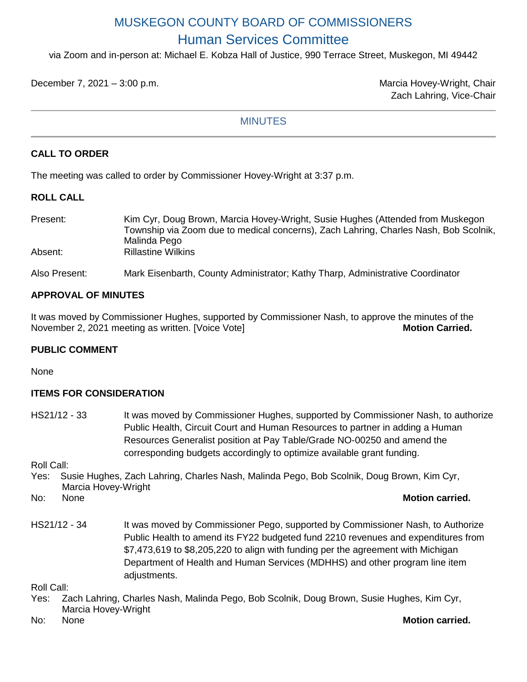# MUSKEGON COUNTY BOARD OF COMMISSIONERS Human Services Committee

via Zoom and in-person at: Michael E. Kobza Hall of Justice, 990 Terrace Street, Muskegon, MI 49442

December 7, 2021 – 3:00 p.m. Marcia Hovey-Wright, Chair

Zach Lahring, Vice-Chair

## **MINUTES**

## **CALL TO ORDER**

The meeting was called to order by Commissioner Hovey-Wright at 3:37 p.m.

#### **ROLL CALL**

Present: Kim Cyr, Doug Brown, Marcia Hovey-Wright, Susie Hughes (Attended from Muskegon Township via Zoom due to medical concerns), Zach Lahring, Charles Nash, Bob Scolnik, Malinda Pego Absent: Rillastine Wilkins

Also Present: Mark Eisenbarth, County Administrator; Kathy Tharp, Administrative Coordinator

## **APPROVAL OF MINUTES**

It was moved by Commissioner Hughes, supported by Commissioner Nash, to approve the minutes of the November 2, 2021 meeting as written. [Voice Vote] **Motion Carried.** Motion Carried.

## **PUBLIC COMMENT**

None

## **ITEMS FOR CONSIDERATION**

HS21/12 - 33 It was moved by Commissioner Hughes, supported by Commissioner Nash, to authorize Public Health, Circuit Court and Human Resources to partner in adding a Human Resources Generalist position at Pay Table/Grade NO-00250 and amend the corresponding budgets accordingly to optimize available grant funding.

Roll Call:

Yes: Susie Hughes, Zach Lahring, Charles Nash, Malinda Pego, Bob Scolnik, Doug Brown, Kim Cyr, Marcia Hovey-Wright

No: None **Motion carried.**

HS21/12 - 34 It was moved by Commissioner Pego, supported by Commissioner Nash, to Authorize Public Health to amend its FY22 budgeted fund 2210 revenues and expenditures from \$7,473,619 to \$8,205,220 to align with funding per the agreement with Michigan Department of Health and Human Services (MDHHS) and other program line item adiustments.

Roll Call:

- Yes: Zach Lahring, Charles Nash, Malinda Pego, Bob Scolnik, Doug Brown, Susie Hughes, Kim Cyr,
- Marcia Hovey-Wright

No: None **Motion carried.**